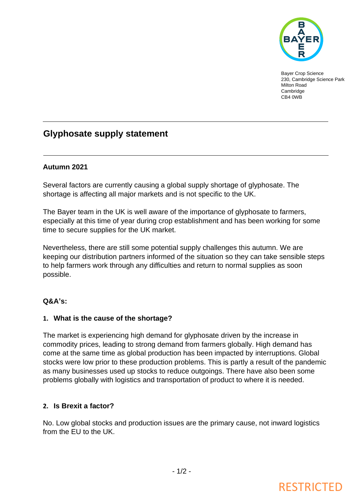

Bayer Crop Science 230, Cambridge Science Park Milton Road Cambridge CB4 0WB

### **Glyphosate supply statement**

### **Autumn 2021**

Several factors are currently causing a global supply shortage of glyphosate. The shortage is affecting all major markets and is not specific to the UK.

The Bayer team in the UK is well aware of the importance of glyphosate to farmers, especially at this time of year during crop establishment and has been working for some time to secure supplies for the UK market.

Nevertheless, there are still some potential supply challenges this autumn. We are keeping our distribution partners informed of the situation so they can take sensible steps to help farmers work through any difficulties and return to normal supplies as soon possible.

### **Q&A's:**

### **1. What is the cause of the shortage?**

The market is experiencing high demand for glyphosate driven by the increase in commodity prices, leading to strong demand from farmers globally. High demand has come at the same time as global production has been impacted by interruptions. Global stocks were low prior to these production problems. This is partly a result of the pandemic as many businesses used up stocks to reduce outgoings. There have also been some problems globally with logistics and transportation of product to where it is needed.

### **2. Is Brexit a factor?**

No. Low global stocks and production issues are the primary cause, not inward logistics from the EU to the UK.

# **RESTRICTED**